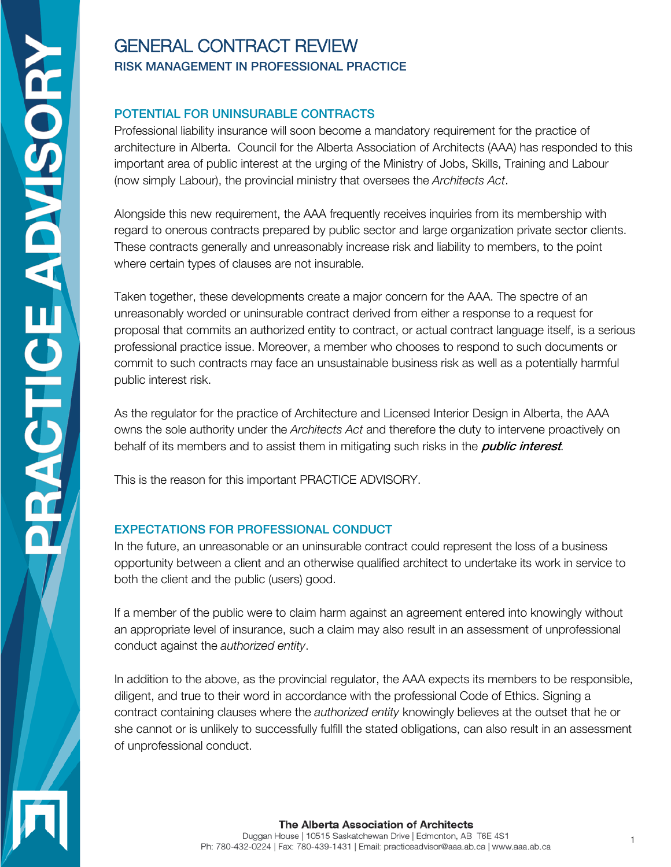# GENERAL CONTRACT REVIEW RISK MANAGEMENT IN PROFESSIONAL PRACTICE

## POTENTIAL FOR UNINSURABLE CONTRACTS

Professional liability insurance will soon become a mandatory requirement for the practice of architecture in Alberta. Council for the Alberta Association of Architects (AAA) has responded to this important area of public interest at the urging of the Ministry of Jobs, Skills, Training and Labour (now simply Labour), the provincial ministry that oversees the Architects Act.

Alongside this new requirement, the AAA frequently receives inquiries from its membership with regard to onerous contracts prepared by public sector and large organization private sector clients. These contracts generally and unreasonably increase risk and liability to members, to the point where certain types of clauses are not insurable.

Taken together, these developments create a major concern for the AAA. The spectre of an unreasonably worded or uninsurable contract derived from either a response to a request for proposal that commits an authorized entity to contract, or actual contract language itself, is a serious professional practice issue. Moreover, a member who chooses to respond to such documents or commit to such contracts may face an unsustainable business risk as well as a potentially harmful public interest risk.

As the regulator for the practice of Architecture and Licensed Interior Design in Alberta, the AAA owns the sole authority under the Architects Act and therefore the duty to intervene proactively on behalf of its members and to assist them in mitigating such risks in the *public interest*.

This is the reason for this important PRACTICE ADVISORY.

## EXPECTATIONS FOR PROFESSIONAL CONDUCT

In the future, an unreasonable or an uninsurable contract could represent the loss of a business opportunity between a client and an otherwise qualified architect to undertake its work in service to both the client and the public (users) good.

If a member of the public were to claim harm against an agreement entered into knowingly without an appropriate level of insurance, such a claim may also result in an assessment of unprofessional conduct against the authorized entity.

In addition to the above, as the provincial regulator, the AAA expects its members to be responsible, diligent, and true to their word in accordance with the professional Code of Ethics. Signing a contract containing clauses where the *authorized entity* knowingly believes at the outset that he or she cannot or is unlikely to successfully fulfill the stated obligations, can also result in an assessment of unprofessional conduct.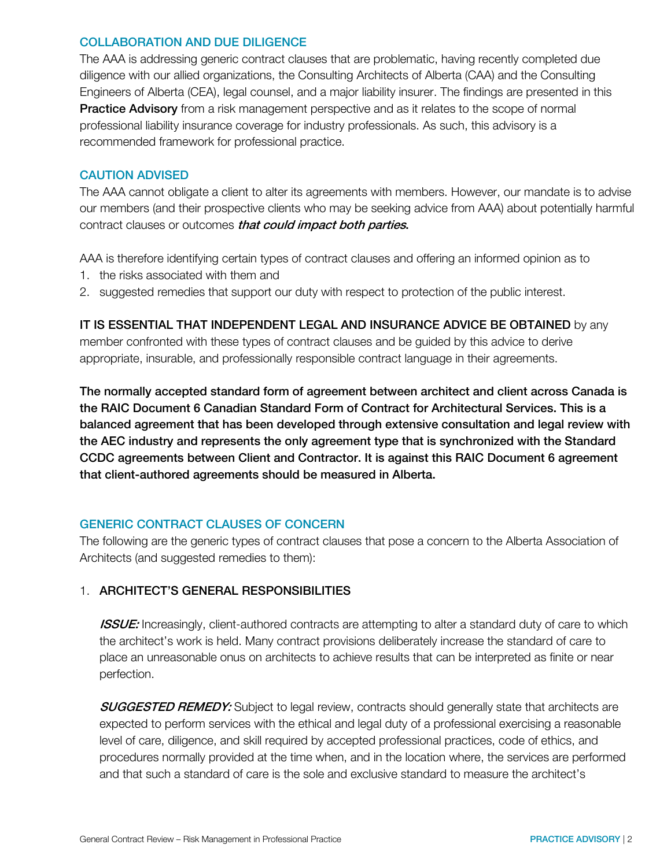## COLLABORATION AND DUE DILIGENCE

The AAA is addressing generic contract clauses that are problematic, having recently completed due diligence with our allied organizations, the Consulting Architects of Alberta (CAA) and the Consulting Engineers of Alberta (CEA), legal counsel, and a major liability insurer. The findings are presented in this Practice Advisory from a risk management perspective and as it relates to the scope of normal professional liability insurance coverage for industry professionals. As such, this advisory is a recommended framework for professional practice.

## CAUTION ADVISED

The AAA cannot obligate a client to alter its agreements with members. However, our mandate is to advise our members (and their prospective clients who may be seeking advice from AAA) about potentially harmful contract clauses or outcomes *that could impact both parties*.

AAA is therefore identifying certain types of contract clauses and offering an informed opinion as to

- 1. the risks associated with them and
- 2. suggested remedies that support our duty with respect to protection of the public interest.

IT IS ESSENTIAL THAT INDEPENDENT LEGAL AND INSURANCE ADVICE BE OBTAINED by any member confronted with these types of contract clauses and be guided by this advice to derive appropriate, insurable, and professionally responsible contract language in their agreements.

The normally accepted standard form of agreement between architect and client across Canada is the RAIC Document 6 Canadian Standard Form of Contract for Architectural Services. This is a balanced agreement that has been developed through extensive consultation and legal review with the AEC industry and represents the only agreement type that is synchronized with the Standard CCDC agreements between Client and Contractor. It is against this RAIC Document 6 agreement that client-authored agreements should be measured in Alberta.

## GENERIC CONTRACT CLAUSES OF CONCERN

The following are the generic types of contract clauses that pose a concern to the Alberta Association of Architects (and suggested remedies to them):

## 1. ARCHITECT'S GENERAL RESPONSIBILITIES

**ISSUE:** Increasingly, client-authored contracts are attempting to alter a standard duty of care to which the architect's work is held. Many contract provisions deliberately increase the standard of care to place an unreasonable onus on architects to achieve results that can be interpreted as finite or near perfection.

**SUGGESTED REMEDY:** Subject to legal review, contracts should generally state that architects are expected to perform services with the ethical and legal duty of a professional exercising a reasonable level of care, diligence, and skill required by accepted professional practices, code of ethics, and procedures normally provided at the time when, and in the location where, the services are performed and that such a standard of care is the sole and exclusive standard to measure the architect's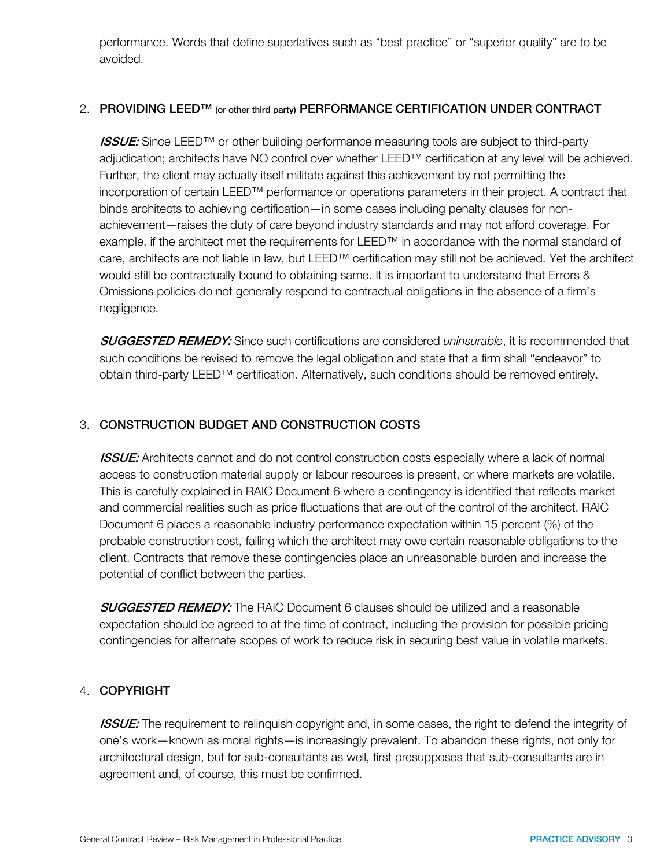performance. Words that define superlatives such as "best practice" or "superior quality" are to be avoided.

#### 2. PROVIDING LEED<sup>™</sup> (or other third party) PERFORMANCE CERTIFICATION UNDER CONTRACT

**ISSUE:** Since LEED™ or other building performance measuring tools are subject to third-party adjudication; architects have NO control over whether LEED™ certification at any level will be achieved. Further, the client may actually itself militate against this achievement by not permitting the incorporation of certain LEED™ performance or operations parameters in their project. A contract that binds architects to achieving certification—in some cases including penalty clauses for nonachievement—raises the duty of care beyond industry standards and may not afford coverage. For example, if the architect met the requirements for LEED™ in accordance with the normal standard of care, architects are not liable in law, but LEED™ certification may still not be achieved. Yet the architect would still be contractually bound to obtaining same. It is important to understand that Errors & Omissions policies do not generally respond to contractual obligations in the absence of a firm's negligence.

**SUGGESTED REMEDY:** Since such certifications are considered uninsurable, it is recommended that such conditions be revised to remove the legal obligation and state that a firm shall "endeavor" to obtain third-party LEED™ certification. Alternatively, such conditions should be removed entirely.

## 3. CONSTRUCTION BUDGET AND CONSTRUCTION COSTS

**ISSUE:** Architects cannot and do not control construction costs especially where a lack of normal access to construction material supply or labour resources is present, or where markets are volatile. This is carefully explained in RAIC Document 6 where a contingency is identified that reflects market and commercial realities such as price fluctuations that are out of the control of the architect. RAIC Document 6 places a reasonable industry performance expectation within 15 percent (%) of the probable construction cost, failing which the architect may owe certain reasonable obligations to the client. Contracts that remove these contingencies place an unreasonable burden and increase the potential of conflict between the parties.

SUGGESTED REMEDY: The RAIC Document 6 clauses should be utilized and a reasonable expectation should be agreed to at the time of contract, including the provision for possible pricing contingencies for alternate scopes of work to reduce risk in securing best value in volatile markets.

## 4. COPYRIGHT

**ISSUE:** The requirement to relinquish copyright and, in some cases, the right to defend the integrity of one's work—known as moral rights—is increasingly prevalent. To abandon these rights, not only for architectural design, but for sub-consultants as well, first presupposes that sub-consultants are in agreement and, of course, this must be confirmed.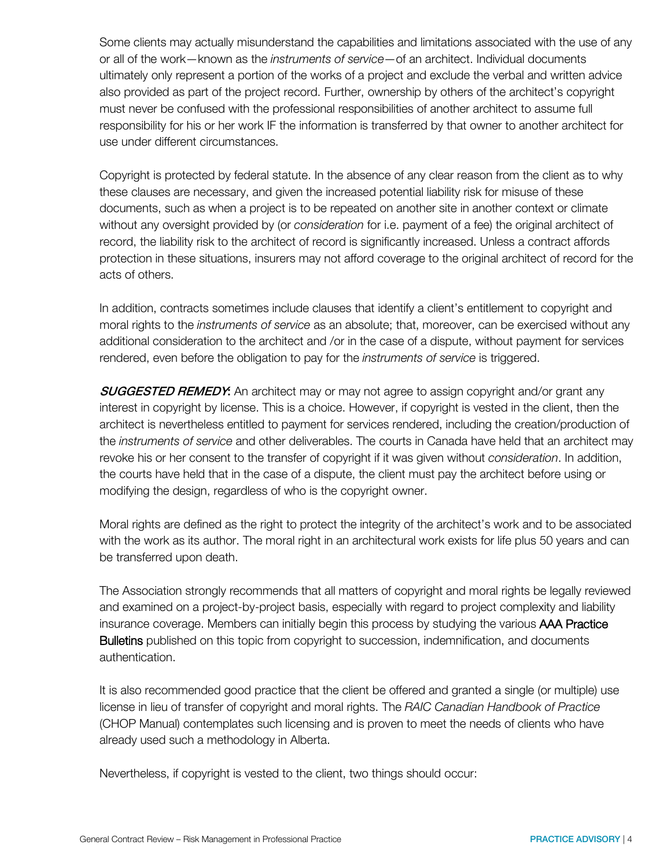Some clients may actually misunderstand the capabilities and limitations associated with the use of any or all of the work—known as the instruments of service—of an architect. Individual documents ultimately only represent a portion of the works of a project and exclude the verbal and written advice also provided as part of the project record. Further, ownership by others of the architect's copyright must never be confused with the professional responsibilities of another architect to assume full responsibility for his or her work IF the information is transferred by that owner to another architect for use under different circumstances.

Copyright is protected by federal statute. In the absence of any clear reason from the client as to why these clauses are necessary, and given the increased potential liability risk for misuse of these documents, such as when a project is to be repeated on another site in another context or climate without any oversight provided by (or consideration for i.e. payment of a fee) the original architect of record, the liability risk to the architect of record is significantly increased. Unless a contract affords protection in these situations, insurers may not afford coverage to the original architect of record for the acts of others.

In addition, contracts sometimes include clauses that identify a client's entitlement to copyright and moral rights to the instruments of service as an absolute; that, moreover, can be exercised without any additional consideration to the architect and /or in the case of a dispute, without payment for services rendered, even before the obligation to pay for the *instruments of service* is triggered.

**SUGGESTED REMEDY:** An architect may or may not agree to assign copyright and/or grant any interest in copyright by license. This is a choice. However, if copyright is vested in the client, then the architect is nevertheless entitled to payment for services rendered, including the creation/production of the instruments of service and other deliverables. The courts in Canada have held that an architect may revoke his or her consent to the transfer of copyright if it was given without *consideration*. In addition, the courts have held that in the case of a dispute, the client must pay the architect before using or modifying the design, regardless of who is the copyright owner.

Moral rights are defined as the right to protect the integrity of the architect's work and to be associated with the work as its author. The moral right in an architectural work exists for life plus 50 years and can be transferred upon death.

The Association strongly recommends that all matters of copyright and moral rights be legally reviewed and examined on a project-by-project basis, especially with regard to project complexity and liability insurance coverage. Members can initially begin this process by studying the various AAA Practice Bulletins published on this topic from copyright to succession, indemnification, and documents authentication.

It is also recommended good practice that the client be offered and granted a single (or multiple) use license in lieu of transfer of copyright and moral rights. The RAIC Canadian Handbook of Practice (CHOP Manual) contemplates such licensing and is proven to meet the needs of clients who have already used such a methodology in Alberta.

Nevertheless, if copyright is vested to the client, two things should occur: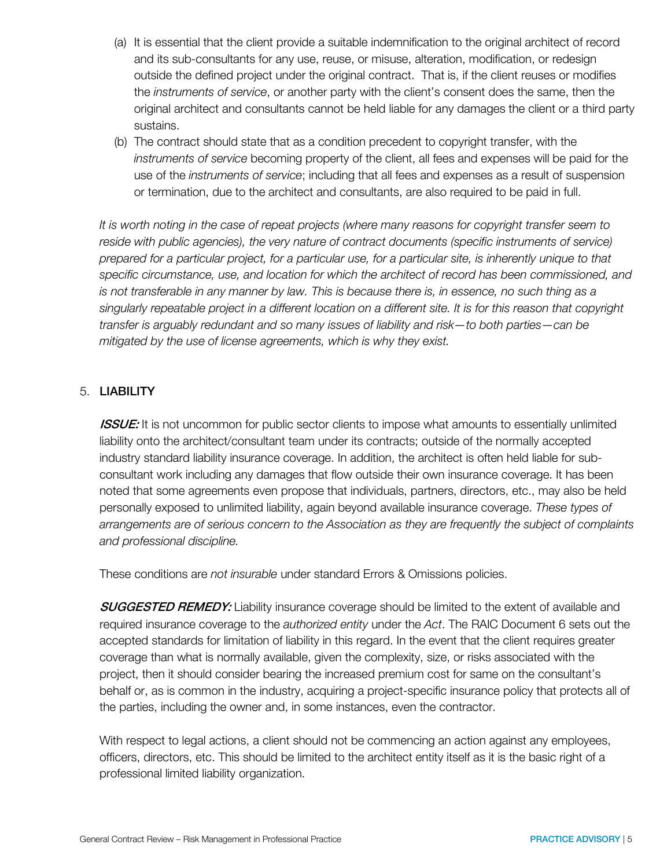- (a) It is essential that the client provide a suitable indemnification to the original architect of record and its sub-consultants for any use, reuse, or misuse, alteration, modification, or redesign outside the defined project under the original contract. That is, if the client reuses or modifies the *instruments of service*, or another party with the client's consent does the same, then the original architect and consultants cannot be held liable for any damages the client or a third party sustains.
- (b) The contract should state that as a condition precedent to copyright transfer, with the instruments of service becoming property of the client, all fees and expenses will be paid for the use of the instruments of service; including that all fees and expenses as a result of suspension or termination, due to the architect and consultants, are also required to be paid in full.

It is worth noting in the case of repeat projects (where many reasons for copyright transfer seem to reside with public agencies), the very nature of contract documents (specific instruments of service) prepared for a particular project, for a particular use, for a particular site, is inherently unique to that specific circumstance, use, and location for which the architect of record has been commissioned, and is not transferable in any manner by law. This is because there is, in essence, no such thing as a singularly repeatable project in a different location on a different site. It is for this reason that copyright transfer is arguably redundant and so many issues of liability and risk—to both parties—can be mitigated by the use of license agreements, which is why they exist.

## 5. LIABILITY

**ISSUE:** It is not uncommon for public sector clients to impose what amounts to essentially unlimited liability onto the architect/consultant team under its contracts; outside of the normally accepted industry standard liability insurance coverage. In addition, the architect is often held liable for subconsultant work including any damages that flow outside their own insurance coverage. It has been noted that some agreements even propose that individuals, partners, directors, etc., may also be held personally exposed to unlimited liability, again beyond available insurance coverage. These types of arrangements are of serious concern to the Association as they are frequently the subject of complaints and professional discipline.

These conditions are not insurable under standard Errors & Omissions policies.

**SUGGESTED REMEDY:** Liability insurance coverage should be limited to the extent of available and required insurance coverage to the authorized entity under the Act. The RAIC Document 6 sets out the accepted standards for limitation of liability in this regard. In the event that the client requires greater coverage than what is normally available, given the complexity, size, or risks associated with the project, then it should consider bearing the increased premium cost for same on the consultant's behalf or, as is common in the industry, acquiring a project-specific insurance policy that protects all of the parties, including the owner and, in some instances, even the contractor.

With respect to legal actions, a client should not be commencing an action against any employees, officers, directors, etc. This should be limited to the architect entity itself as it is the basic right of a professional limited liability organization.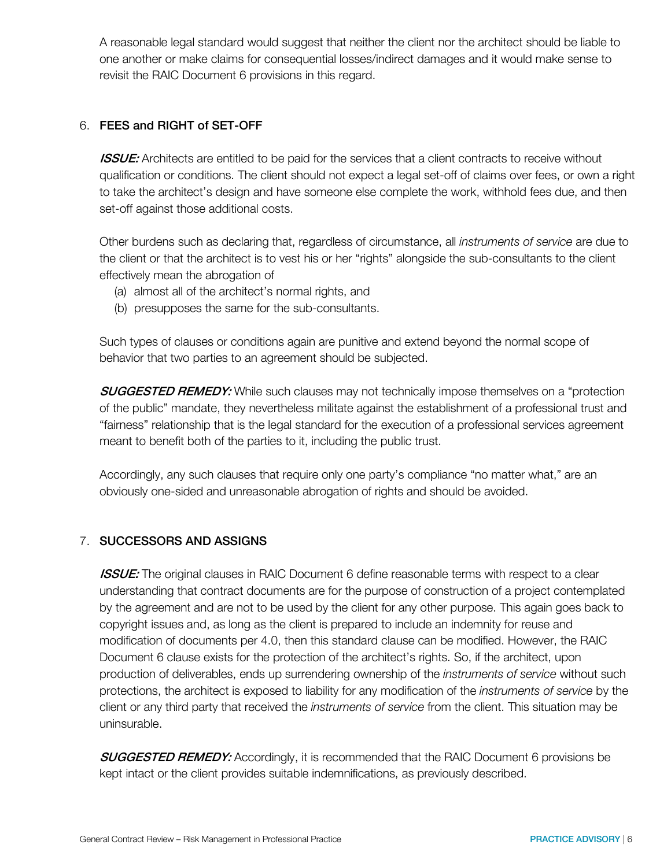A reasonable legal standard would suggest that neither the client nor the architect should be liable to one another or make claims for consequential losses/indirect damages and it would make sense to revisit the RAIC Document 6 provisions in this regard.

## 6. FEES and RIGHT of SET-OFF

**ISSUE:** Architects are entitled to be paid for the services that a client contracts to receive without qualification or conditions. The client should not expect a legal set-off of claims over fees, or own a right to take the architect's design and have someone else complete the work, withhold fees due, and then set-off against those additional costs.

Other burdens such as declaring that, regardless of circumstance, all instruments of service are due to the client or that the architect is to vest his or her "rights" alongside the sub-consultants to the client effectively mean the abrogation of

- (a) almost all of the architect's normal rights, and
- (b) presupposes the same for the sub-consultants.

Such types of clauses or conditions again are punitive and extend beyond the normal scope of behavior that two parties to an agreement should be subjected.

**SUGGESTED REMEDY:** While such clauses may not technically impose themselves on a "protection of the public" mandate, they nevertheless militate against the establishment of a professional trust and "fairness" relationship that is the legal standard for the execution of a professional services agreement meant to benefit both of the parties to it, including the public trust.

Accordingly, any such clauses that require only one party's compliance "no matter what," are an obviously one-sided and unreasonable abrogation of rights and should be avoided.

## 7. SUCCESSORS AND ASSIGNS

**ISSUE:** The original clauses in RAIC Document 6 define reasonable terms with respect to a clear understanding that contract documents are for the purpose of construction of a project contemplated by the agreement and are not to be used by the client for any other purpose. This again goes back to copyright issues and, as long as the client is prepared to include an indemnity for reuse and modification of documents per 4.0, then this standard clause can be modified. However, the RAIC Document 6 clause exists for the protection of the architect's rights. So, if the architect, upon production of deliverables, ends up surrendering ownership of the *instruments of service* without such protections, the architect is exposed to liability for any modification of the instruments of service by the client or any third party that received the *instruments of service* from the client. This situation may be uninsurable.

**SUGGESTED REMEDY:** Accordingly, it is recommended that the RAIC Document 6 provisions be kept intact or the client provides suitable indemnifications, as previously described.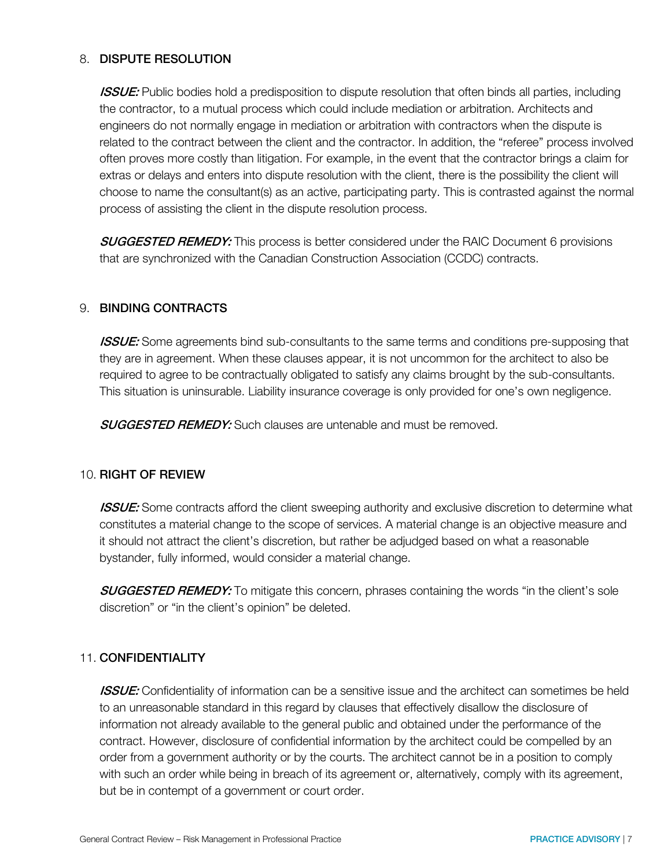## 8. DISPUTE RESOLUTION

**ISSUE:** Public bodies hold a predisposition to dispute resolution that often binds all parties, including the contractor, to a mutual process which could include mediation or arbitration. Architects and engineers do not normally engage in mediation or arbitration with contractors when the dispute is related to the contract between the client and the contractor. In addition, the "referee" process involved often proves more costly than litigation. For example, in the event that the contractor brings a claim for extras or delays and enters into dispute resolution with the client, there is the possibility the client will choose to name the consultant(s) as an active, participating party. This is contrasted against the normal process of assisting the client in the dispute resolution process.

**SUGGESTED REMEDY:** This process is better considered under the RAIC Document 6 provisions that are synchronized with the Canadian Construction Association (CCDC) contracts.

## 9. BINDING CONTRACTS

**ISSUE:** Some agreements bind sub-consultants to the same terms and conditions pre-supposing that they are in agreement. When these clauses appear, it is not uncommon for the architect to also be required to agree to be contractually obligated to satisfy any claims brought by the sub-consultants. This situation is uninsurable. Liability insurance coverage is only provided for one's own negligence.

**SUGGESTED REMEDY:** Such clauses are untenable and must be removed.

## 10. RIGHT OF REVIEW

**ISSUE:** Some contracts afford the client sweeping authority and exclusive discretion to determine what constitutes a material change to the scope of services. A material change is an objective measure and it should not attract the client's discretion, but rather be adjudged based on what a reasonable bystander, fully informed, would consider a material change.

**SUGGESTED REMEDY:** To mitigate this concern, phrases containing the words "in the client's sole discretion" or "in the client's opinion" be deleted.

## 11. CONFIDENTIALITY

**ISSUE:** Confidentiality of information can be a sensitive issue and the architect can sometimes be held to an unreasonable standard in this regard by clauses that effectively disallow the disclosure of information not already available to the general public and obtained under the performance of the contract. However, disclosure of confidential information by the architect could be compelled by an order from a government authority or by the courts. The architect cannot be in a position to comply with such an order while being in breach of its agreement or, alternatively, comply with its agreement, but be in contempt of a government or court order.